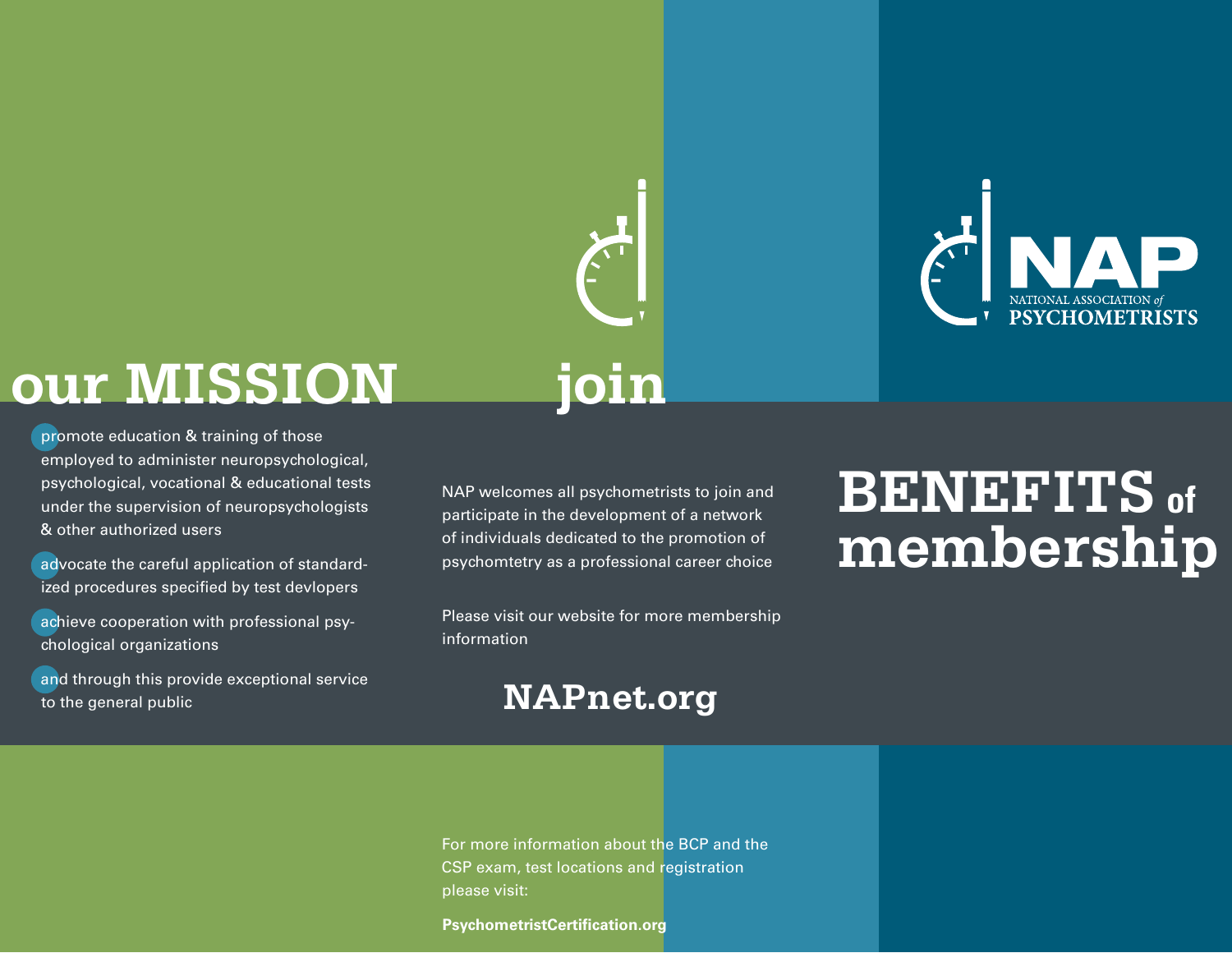

### **our MISSION**

promote education & training of those employed to administer neuropsychological, psychological, vocational & educational tests under the supervision of neuropsychologists & other authorized users

advocate the careful application of standardized procedures specified by test devlopers

achieve cooperation with professional psychological organizations

and through this provide exceptional service to the general public

NAP welcomes all psychometrists to join and participate in the development of a network of individuals dedicated to the promotion of psychomtetry as a professional career choice

**join**

Please visit our website for more membership information

#### **NAPnet.org**

### **BENEFITS** of **membership**

For more information about the BCP and the CSP exam, test locations and registration please visit:

**PsychometristCertification.org**